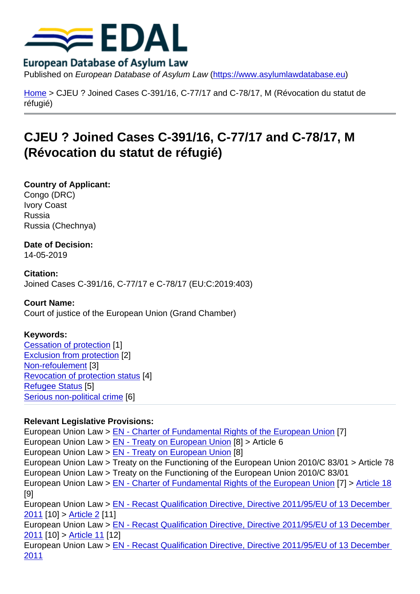Published on European Database of Asylum Law (https://www.asylumlawdatabase.eu)

Home > CJEU ? Joined Cases C-391/16, C-77/17 and C-78/17, M (Révocation du statut de réfugié)

## [CJE](https://www.asylumlawdatabase.eu/en)U ? Joined Cases C-391/16, C-77/17 and C-78/17, M (Révocation du statut de réfugié)

Country of Applicant: Congo (DRC) Ivory Coast Russia Russia (Chechnya)

Date of Decision: 14-05-2019

Citation: Joined Cases C-391/16, C-77/17 e C-78/17 (EU:C:2019:403)

Court Name: Court of justice of the European Union (Grand Chamber)

Keywords: Cessation of protection [1] Exclusion from protection [2] Non-refoulement [3] [Revocation of protection](https://www.asylumlawdatabase.eu/en/case-law-search?f[0]=field_keywords:1162) status [4] [Refugee Status](https://www.asylumlawdatabase.eu/en/case-law-search?f[0]=field_keywords:31) [5] [Serious non-polit](https://www.asylumlawdatabase.eu/en/case-law-search?f[0]=field_keywords:48)ical crime [6]

[Relevant Legisla](https://www.asylumlawdatabase.eu/en/case-law-search?f[0]=field_keywords:192)tive Provisions: [European Union Law > EN](https://www.asylumlawdatabase.eu/en/case-law-search?f[0]=field_keywords:75) - Charter of Fundamental Rights of the European Union [7] European Union Law > EN - Treaty on European Union [8] > Article 6 European Union Law > EN - Treaty on European Union [8] European Union Law > [Treaty on the Functioning of the European Union 2010/C 83](https://www.asylumlawdatabase.eu/node/453)/01 > Article 78 European Union Law > [Treaty on the Functioning of the](http://eur-lex.europa.eu/LexUriServ/LexUriServ.do?uri=OJ:C:2008:115:0013:0045:EN:PDF) European Union 2010/C 83/01 European Union Law > [EN - Charter of Fundamental Ri](http://eur-lex.europa.eu/LexUriServ/LexUriServ.do?uri=OJ:C:2008:115:0013:0045:EN:PDF)ghts of the European Union [7] > Article 18 [9] European Union Law > EN - Recast Qualification Directive, Directive 2011/95/EU of 13 December 2011 [10] > Article 2 [11] European Union Law > [EN - Recast Qualification Directive, Directive 2011/95/EU of](https://www.asylumlawdatabase.eu/node/453) 13 [December](https://www.asylumlawdatabase.eu/node/453#toc_85)  2011 [10] > Article 11 [12] [Europ](https://www.asylumlawdatabase.eu/node/4038)ean [Union Law](https://www.asylumlawdatabase.eu/node/4038#toc_70) > [EN - Recast Qualification Directive, Directive 2011/95/EU of 13 December](https://www.asylumlawdatabase.eu/node/4038)  2011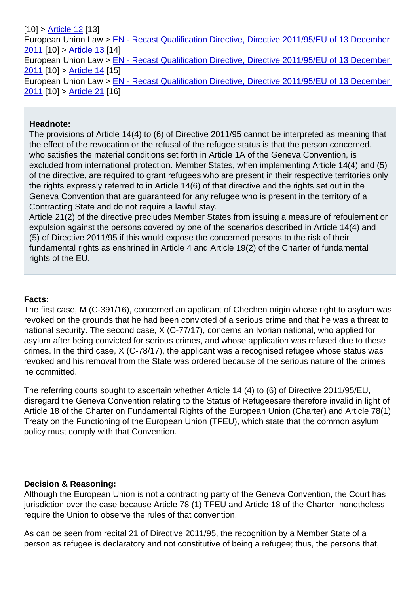| European Union Law > EN - Recast Qualification Directive, Directive 2011/95/EU of 13 December |  |
|-----------------------------------------------------------------------------------------------|--|
| 2011 [10] > Article 13 [14]                                                                   |  |
| European Union Law > EN - Recast Qualification Directive, Directive 2011/95/EU of 13 December |  |
| 2011 [10] > Article 14 [15]                                                                   |  |
| European Union Law > EN - Recast Qualification Directive, Directive 2011/95/EU of 13 December |  |
| 2011 [10] > Article 21 [16]                                                                   |  |

## [Hea](https://www.asylumlawdatabase.eu/node/4038)dnote:

The provisions of Article 14(4) to (6) of Directive 2011/95 cannot be interpreted as meaning that the effect of the revocation or the refusal of the refugee status is that the person concerned, who satisfies the material conditions set forth in Article 1A of the Geneva Convention, is excluded from international protection. Member States, when implementing Article 14(4) and (5) of the directive, are required to grant refugees who are present in their respective territories only the rights expressly referred to in Article 14(6) of that directive and the rights set out in the Geneva Convention that are guaranteed for any refugee who is present in the territory of a Contracting State and do not require a lawful stay.

Article 21(2) of the directive precludes Member States from issuing a measure of refoulement or expulsion against the persons covered by one of the scenarios described in Article 14(4) and (5) of Directive 2011/95 if this would expose the concerned persons to the risk of their fundamental rights as enshrined in Article 4 and Article 19(2) of the Charter of fundamental rights of the EU.

## Facts:

The first case, M (C-391/16), concerned an applicant of Chechen origin whose right to asylum was revoked on the grounds that he had been convicted of a serious crime and that he was a threat to national security. The second case, X (C-77/17), concerns an Ivorian national, who applied for asylum after being convicted for serious crimes, and whose application was refused due to these crimes. In the third case, X (C-78/17), the applicant was a recognised refugee whose status was revoked and his removal from the State was ordered because of the serious nature of the crimes he committed.

The referring courts sought to ascertain whether Article 14 (4) to (6) of Directive 2011/95/EU, disregard the Geneva Convention relating to the Status of Refugeesare therefore invalid in light of Article 18 of the Charter on Fundamental Rights of the European Union (Charter) and Article 78(1) Treaty on the Functioning of the European Union (TFEU), which state that the common asylum policy must comply with that Convention.

## Decision & Reasoning:

Although the European Union is not a contracting party of the Geneva Convention, the Court has jurisdiction over the case because Article 78 (1) TFEU and Article 18 of the Charter nonetheless require the Union to observe the rules of that convention.

As can be seen from recital 21 of Directive 2011/95, the recognition by a Member State of a person as refugee is declaratory and not constitutive of being a refugee; thus, the persons that,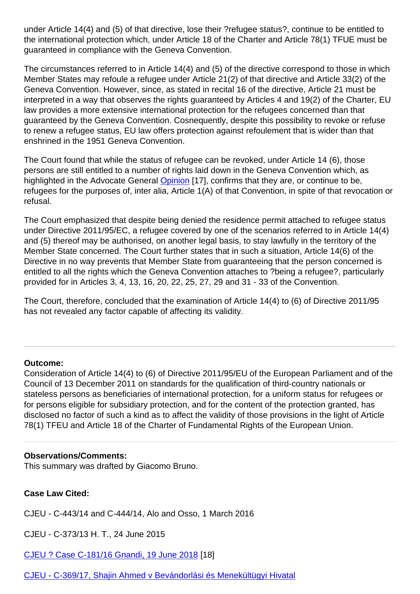the international protection which, under Article 18 of the Charter and Article 78(1) TFUE must be guaranteed in compliance with the Geneva Convention.

The circumstances referred to in Article 14(4) and (5) of the directive correspond to those in which Member States may refoule a refugee under Article 21(2) of that directive and Article 33(2) of the Geneva Convention. However, since, as stated in recital 16 of the directive, Article 21 must be interpreted in a way that observes the rights guaranteed by Articles 4 and 19(2) of the Charter, EU law provides a more extensive international protection for the refugees concerned than that guaranteed by the Geneva Convention. Cosnequently, despite this possibility to revoke or refuse to renew a refugee status, EU law offers protection against refoulement that is wider than that enshrined in the 1951 Geneva Convention.

The Court found that while the status of refugee can be revoked, under Article 14 (6), those persons are still entitled to a number of rights laid down in the Geneva Convention which, as highlighted in the Advocate General Opinion [17], confirms that they are, or continue to be, refugees for the purposes of, inter alia, Article 1(A) of that Convention, in spite of that revocation or refusal.

The Court emphasized that despite [being de](http://curia.europa.eu/juris/document/document.jsf?text=&docid=203230&pageIndex=0&doclang=EN&mode=lst&dir=&occ=first&part=1&cid=3961811)nied the residence permit attached to refugee status under Directive 2011/95/EC, a refugee covered by one of the scenarios referred to in Article 14(4) and (5) thereof may be authorised, on another legal basis, to stay lawfully in the territory of the Member State concerned. The Court further states that in such a situation, Article 14(6) of the Directive in no way prevents that Member State from guaranteeing that the person concerned is entitled to all the rights which the Geneva Convention attaches to ?being a refugee?, particularly provided for in Articles 3, 4, 13, 16, 20, 22, 25, 27, 29 and 31 - 33 of the Convention.

The Court, therefore, concluded that the examination of Article 14(4) to (6) of Directive 2011/95 has not revealed any factor capable of affecting its validity.

Outcome:

Consideration of Article 14(4) to (6) of Directive 2011/95/EU of the European Parliament and of the Council of 13 December 2011 on standards for the qualification of third-country nationals or stateless persons as beneficiaries of international protection, for a uniform status for refugees or for persons eligible for subsidiary protection, and for the content of the protection granted, has disclosed no factor of such a kind as to affect the validity of those provisions in the light of Article 78(1) TFEU and Article 18 of the Charter of Fundamental Rights of the European Union.

Observations/Comments: This summary was drafted by Giacomo Bruno.

Case Law Cited:

CJEU - C-443/14 and C-444/14, Alo and Osso, 1 March 2016

CJEU - C-373/13 H. T., 24 June 2015

CJEU ? Case C-181/16 Gnandi, 19 June 2018 [18]

CJEU - C-369/17, Shajin Ahmed v Bevándorlási és Menekültügyi Hivatal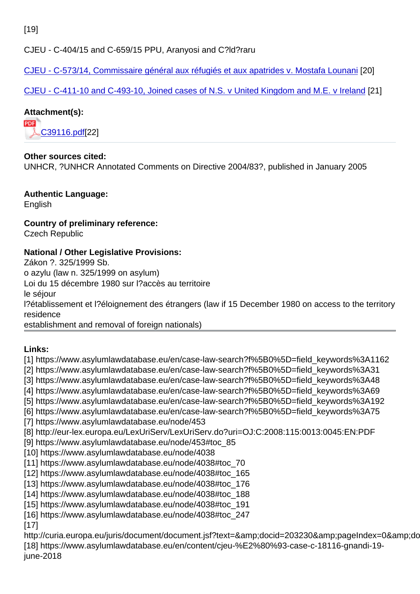CJEU - C-404/15 and C-659/15 PPU, Aranyosi and C?ld?raru

CJEU - C-573/14, Commissaire général aux réfugiés et aux apatrides v. Mostafa Lounani [20]

CJEU - C-411-10 and C-493-10, Joined cases of N.S. v United Kingdom and M.E. v Ireland [21]

[Attachment\(s\):](https://www.asylumlawdatabase.eu/en/content/cjeu-c-57314-commissaire-général-aux-réfugiés-et-aux-apatrides-v-mostafa-lounani) 

[C39116.pdf\[22\]](https://www.asylumlawdatabase.eu/en/content/cjeu-c-411-10-and-c-493-10-joined-cases-ns-v-united-kingdom-and-me-v-ireland)

Other sources cited: UN[HCR, ?UNHC](https://www.asylumlawdatabase.eu/sites/default/files/aldfiles/C39116.pdf)R Annotated Comments on Directive 2004/83?, published in January 2005

Authentic Language: English

Country of preliminary reference: Czech Republic

National / Other Legislative Provisions:

Zákon ?. 325/1999 Sb.

o azylu (law n. 325/1999 on asylum)

Loi du 15 décembre 1980 sur l?accès au territoire

le séjour

l?établissement et l?éloignement des étrangers (law if 15 December 1980 on access to the territory residence

establishment and removal of foreign nationals)

Links:

[1] https://www.asylumlawdatabase.eu/en/case-law-search?f%5B0%5D=field\_keywords%3A1162 [2] https://www.asylumlawdatabase.eu/en/case-law-search?f%5B0%5D=field\_keywords%3A31 [3] https://www.asylumlawdatabase.eu/en/case-law-search?f%5B0%5D=field\_keywords%3A48 [4] https://www.asylumlawdatabase.eu/en/case-law-search?f%5B0%5D=field\_keywords%3A69 [5] https://www.asylumlawdatabase.eu/en/case-law-search?f%5B0%5D=field\_keywords%3A192 [6] https://www.asylumlawdatabase.eu/en/case-law-search?f%5B0%5D=field\_keywords%3A75 [7] https://www.asylumlawdatabase.eu/node/453 [8] http://eur-lex.europa.eu/LexUriServ/LexUriServ.do?uri=OJ:C:2008:115:0013:0045:EN:PDF [9] https://www.asylumlawdatabase.eu/node/453#toc\_85 [10] https://www.asylumlawdatabase.eu/node/4038 [11] https://www.asylumlawdatabase.eu/node/4038#toc\_70 [12] https://www.asylumlawdatabase.eu/node/4038#toc\_165 [13] https://www.asylumlawdatabase.eu/node/4038#toc\_176 [14] https://www.asylumlawdatabase.eu/node/4038#toc\_188 [15] https://www.asylumlawdatabase.eu/node/4038#toc\_191 [16] https://www.asylumlawdatabase.eu/node/4038#toc\_247 [17] http://curia.europa.eu/juris/document/document.jsf?text=&docid=203230&pageIndex=0&docla

[18] https://www.asylumlawdatabase.eu/en/content/cjeu-%E2%80%93-case-c-18116-gnandi-19 june-2018